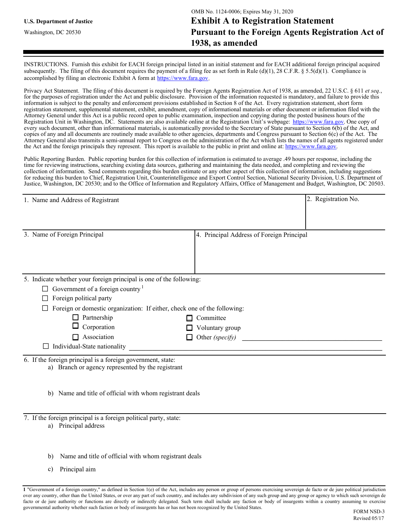INSTRUCTIONS. Furnish this exhibit for EACH foreign principal listed in an initial statement and for EACH additional foreign principal acquired subsequently. The filing of this document requires the payment of a filing fee as set forth in Rule (d)(1), 28 C.F.R. § 5.5(d)(1). Compliance is accomplished by filing an electronic Exhibit A form at https://www.fara.gov.

Privacy Act Statement. The filing of this document is required by the Foreign Agents Registration Act of 1938, as amended, 22 U.S.C. § 611 *et seq.*, for the purposes of registration under the Act and public disclosure. Provision of the information requested is mandatory, and failure to provide this information is subject to the penalty and enforcement provisions established in Section 8 of the Act. Every registration statement, short form registration statement, supplemental statement, exhibit, amendment, copy of informational materials or other document or information filed with the Attorney General under this Act is a public record open to public examination, inspection and copying during the posted business hours of the Registration Unit in Washington, DC. Statements are also available online at the Registration Unit's webpage: https://www.fara.gov. One copy of every such document, other than informational materials, is automatically provided to the Secretary of State pursuant to Section 6(b) of the Act, and copies of any and all documents are routinely made available to other agencies, departments and Congress pursuant to Section 6(c) of the Act. The Attorney General also transmits a semi-annual report to Congress on the administration of the Act which lists the names of all agents registered under the Act and the foreign principals they represent. This report is available to the public in print and online at: https://www.fara.gov.

Public Reporting Burden. Public reporting burden for this collection of information is estimated to average .49 hours per response, including the time for reviewing instructions, searching existing data sources, gathering and maintaining the data needed, and completing and reviewing the collection of information. Send comments regarding this burden estimate or any other aspect of this collection of information, including suggestions for reducing this burden to Chief, Registration Unit, Counterintelligence and Export Control Section, National Security Division, U.S. Department of Justice, Washington, DC 20530; and to the Office of Information and Regulatory Affairs, Office of Management and Budget, Washington, DC 20503.

| 1. Name and Address of Registrant                                        |                                           | 2. Registration No. |
|--------------------------------------------------------------------------|-------------------------------------------|---------------------|
|                                                                          |                                           |                     |
|                                                                          |                                           |                     |
| 3. Name of Foreign Principal                                             | 4. Principal Address of Foreign Principal |                     |
|                                                                          |                                           |                     |
|                                                                          |                                           |                     |
|                                                                          |                                           |                     |
| 5. Indicate whether your foreign principal is one of the following:      |                                           |                     |
| Government of a foreign country $1$                                      |                                           |                     |
| Foreign political party                                                  |                                           |                     |
| Foreign or domestic organization: If either, check one of the following: |                                           |                     |
| $\Box$ Partnership                                                       | Committee<br>П                            |                     |
| Corporation                                                              | Voluntary group                           |                     |
| $\Box$ Association                                                       | Other (specify)<br>П                      |                     |
| Individual-State nationality                                             |                                           |                     |
| 6. If the foreign principal is a foreign government, state:              |                                           |                     |
| a) Branch or agency represented by the registrant                        |                                           |                     |
|                                                                          |                                           |                     |
| Name and title of official with whom registrant deals<br>b)              |                                           |                     |
|                                                                          |                                           |                     |
| 7. If the foreign principal is a foreign political party, state:         |                                           |                     |
| a) Principal address                                                     |                                           |                     |
|                                                                          |                                           |                     |
|                                                                          |                                           |                     |
|                                                                          |                                           |                     |

- b) Name and title of official with whom registrant deals
- c) Principal aim

**<sup>1</sup>** "Government of a foreign country," as defined in Section 1(e) of the Act, includes any person or group of persons exercising sovereign de facto or de jure political jurisdiction over any country, other than the United States, or over any part of such country, and includes any subdivision of any such group and any group or agency to which such sovereign de facto or de jure authority or functions are directly or indirectly delegated. Such term shall include any faction or body of insurgents within a country assuming to exercise governmental authority whether such faction or body of insurgents has or has not been recognized by the United States.